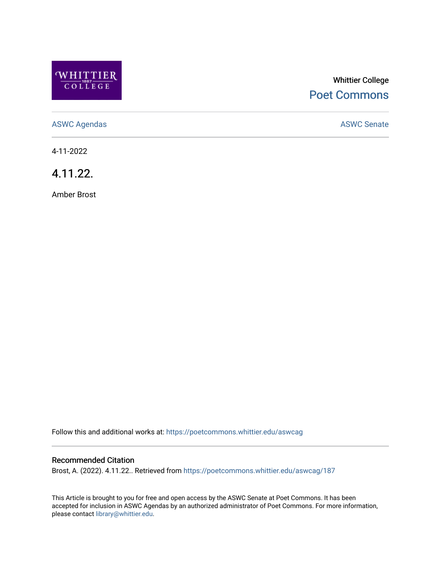

# Whittier College [Poet Commons](https://poetcommons.whittier.edu/)

[ASWC Agendas](https://poetcommons.whittier.edu/aswcag) **ASWC Senate** 

4-11-2022

4.11.22.

Amber Brost

Follow this and additional works at: [https://poetcommons.whittier.edu/aswcag](https://poetcommons.whittier.edu/aswcag?utm_source=poetcommons.whittier.edu%2Faswcag%2F187&utm_medium=PDF&utm_campaign=PDFCoverPages) 

## Recommended Citation

Brost, A. (2022). 4.11.22.. Retrieved from [https://poetcommons.whittier.edu/aswcag/187](https://poetcommons.whittier.edu/aswcag/187?utm_source=poetcommons.whittier.edu%2Faswcag%2F187&utm_medium=PDF&utm_campaign=PDFCoverPages) 

This Article is brought to you for free and open access by the ASWC Senate at Poet Commons. It has been accepted for inclusion in ASWC Agendas by an authorized administrator of Poet Commons. For more information, please contact [library@whittier.edu](mailto:library@whittier.edu).